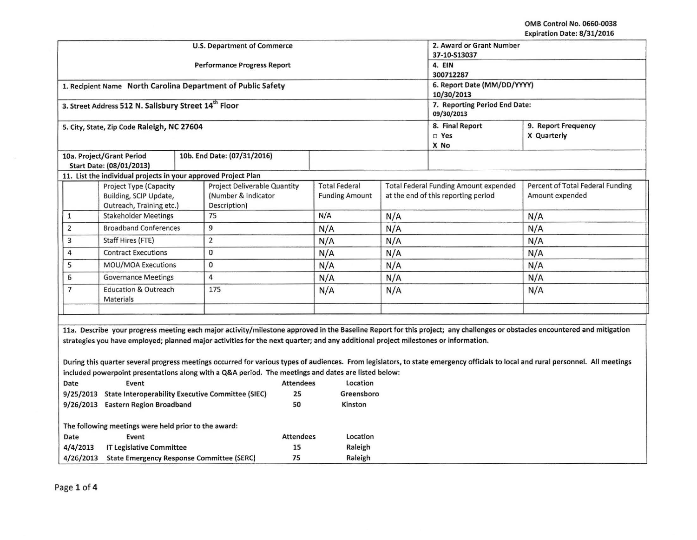OMB Control No. 0660-0038 Expiration Date: 8/31/2016

| 2. Award or Grant Number<br><b>U.S. Department of Commerce</b><br>37-10-S13037                                                                             |                                                                                                                                                                                                                                                                                         |  |                                                                                                                                    |                  |                                               |          |                                                                                     |                                           |                                                                                                                                                                            |  |
|------------------------------------------------------------------------------------------------------------------------------------------------------------|-----------------------------------------------------------------------------------------------------------------------------------------------------------------------------------------------------------------------------------------------------------------------------------------|--|------------------------------------------------------------------------------------------------------------------------------------|------------------|-----------------------------------------------|----------|-------------------------------------------------------------------------------------|-------------------------------------------|----------------------------------------------------------------------------------------------------------------------------------------------------------------------------|--|
| <b>Performance Progress Report</b>                                                                                                                         |                                                                                                                                                                                                                                                                                         |  |                                                                                                                                    |                  |                                               |          |                                                                                     | 4. EIN<br>300712287                       |                                                                                                                                                                            |  |
| 1. Recipient Name North Carolina Department of Public Safety                                                                                               |                                                                                                                                                                                                                                                                                         |  |                                                                                                                                    |                  |                                               |          |                                                                                     | 6. Report Date (MM/DD/YYYY)<br>10/30/2013 |                                                                                                                                                                            |  |
| 3. Street Address 512 N. Salisbury Street 14th Floor                                                                                                       |                                                                                                                                                                                                                                                                                         |  |                                                                                                                                    |                  |                                               |          | 7. Reporting Period End Date:<br>09/30/2013                                         |                                           |                                                                                                                                                                            |  |
| 5. City, State, Zip Code Raleigh, NC 27604                                                                                                                 |                                                                                                                                                                                                                                                                                         |  |                                                                                                                                    |                  |                                               |          | 8. Final Report<br>$\square$ Yes<br>X No                                            | 9. Report Frequency<br>X Quarterly        |                                                                                                                                                                            |  |
| 10a. Project/Grant Period<br>Start Date: (08/01/2013)                                                                                                      | 10b. End Date: (07/31/2016)                                                                                                                                                                                                                                                             |  |                                                                                                                                    |                  |                                               |          |                                                                                     |                                           |                                                                                                                                                                            |  |
|                                                                                                                                                            | 11. List the individual projects in your approved Project Plan                                                                                                                                                                                                                          |  |                                                                                                                                    |                  |                                               |          |                                                                                     |                                           |                                                                                                                                                                            |  |
| <b>Project Deliverable Quantity</b><br>Project Type (Capacity<br>Building, SCIP Update,<br>(Number & Indicator<br>Outreach, Training etc.)<br>Description) |                                                                                                                                                                                                                                                                                         |  |                                                                                                                                    |                  | <b>Total Federal</b><br><b>Funding Amount</b> |          | <b>Total Federal Funding Amount expended</b><br>at the end of this reporting period |                                           | Percent of Total Federal Funding<br>Amount expended                                                                                                                        |  |
| $\ensuremath{\mathsf{1}}$                                                                                                                                  | <b>Stakeholder Meetings</b>                                                                                                                                                                                                                                                             |  | 75                                                                                                                                 |                  | N/A                                           |          | N/A                                                                                 |                                           | N/A                                                                                                                                                                        |  |
| $\overline{2}$                                                                                                                                             | <b>Broadband Conferences</b>                                                                                                                                                                                                                                                            |  | 9                                                                                                                                  |                  | N/A                                           |          | N/A                                                                                 |                                           | N/A                                                                                                                                                                        |  |
| 3                                                                                                                                                          | Staff Hires (FTE)                                                                                                                                                                                                                                                                       |  | $\overline{2}$                                                                                                                     |                  | N/A                                           |          | N/A                                                                                 |                                           | N/A                                                                                                                                                                        |  |
| 4                                                                                                                                                          | <b>Contract Executions</b>                                                                                                                                                                                                                                                              |  | 0                                                                                                                                  |                  | N/A                                           |          | N/A                                                                                 |                                           | N/A                                                                                                                                                                        |  |
| 5                                                                                                                                                          | MOU/MOA Executions                                                                                                                                                                                                                                                                      |  | 0                                                                                                                                  |                  |                                               | N/A      |                                                                                     |                                           | N/A                                                                                                                                                                        |  |
| 6                                                                                                                                                          | <b>Governance Meetings</b>                                                                                                                                                                                                                                                              |  | $\overline{4}$                                                                                                                     |                  | N/A                                           |          | N/A                                                                                 |                                           | N/A                                                                                                                                                                        |  |
| $\overline{7}$<br><b>Education &amp; Outreach</b><br>Materials                                                                                             |                                                                                                                                                                                                                                                                                         |  | 175                                                                                                                                |                  | N/A                                           |          | N/A                                                                                 |                                           | N/A                                                                                                                                                                        |  |
|                                                                                                                                                            |                                                                                                                                                                                                                                                                                         |  |                                                                                                                                    |                  |                                               |          |                                                                                     |                                           |                                                                                                                                                                            |  |
|                                                                                                                                                            |                                                                                                                                                                                                                                                                                         |  |                                                                                                                                    |                  |                                               |          |                                                                                     |                                           |                                                                                                                                                                            |  |
|                                                                                                                                                            |                                                                                                                                                                                                                                                                                         |  |                                                                                                                                    |                  |                                               |          |                                                                                     |                                           | 11a. Describe your progress meeting each major activity/milestone approved in the Baseline Report for this project; any challenges or obstacles encountered and mitigation |  |
|                                                                                                                                                            |                                                                                                                                                                                                                                                                                         |  | strategies you have employed; planned major activities for the next quarter; and any additional project milestones or information. |                  |                                               |          |                                                                                     |                                           |                                                                                                                                                                            |  |
|                                                                                                                                                            |                                                                                                                                                                                                                                                                                         |  |                                                                                                                                    |                  |                                               |          |                                                                                     |                                           |                                                                                                                                                                            |  |
|                                                                                                                                                            | During this quarter several progress meetings occurred for various types of audiences. From legislators, to state emergency officials to local and rural personnel. All meetings<br>included powerpoint presentations along with a Q&A period. The meetings and dates are listed below: |  |                                                                                                                                    |                  |                                               |          |                                                                                     |                                           |                                                                                                                                                                            |  |
| Date                                                                                                                                                       | Location<br>Event<br><b>Attendees</b>                                                                                                                                                                                                                                                   |  |                                                                                                                                    |                  |                                               |          |                                                                                     |                                           |                                                                                                                                                                            |  |
| 9/25/2013 State Interoperability Executive Committee (SIEC)                                                                                                |                                                                                                                                                                                                                                                                                         |  | 25                                                                                                                                 |                  | Greensboro                                    |          |                                                                                     |                                           |                                                                                                                                                                            |  |
| 9/26/2013 Eastern Region Broadband                                                                                                                         |                                                                                                                                                                                                                                                                                         |  | 50                                                                                                                                 |                  | Kinston                                       |          |                                                                                     |                                           |                                                                                                                                                                            |  |
|                                                                                                                                                            |                                                                                                                                                                                                                                                                                         |  |                                                                                                                                    |                  |                                               |          |                                                                                     |                                           |                                                                                                                                                                            |  |
|                                                                                                                                                            | The following meetings were held prior to the award:                                                                                                                                                                                                                                    |  |                                                                                                                                    |                  |                                               |          |                                                                                     |                                           |                                                                                                                                                                            |  |
| Date                                                                                                                                                       | Event                                                                                                                                                                                                                                                                                   |  |                                                                                                                                    | <b>Attendees</b> |                                               | Location |                                                                                     |                                           |                                                                                                                                                                            |  |
| 4/4/2013<br><b>IT Legislative Committee</b>                                                                                                                |                                                                                                                                                                                                                                                                                         |  |                                                                                                                                    | 15               |                                               | Raleigh  |                                                                                     |                                           |                                                                                                                                                                            |  |
|                                                                                                                                                            | 75<br>4/26/2013<br><b>State Emergency Response Committee (SERC)</b><br>Raleigh                                                                                                                                                                                                          |  |                                                                                                                                    |                  |                                               |          |                                                                                     |                                           |                                                                                                                                                                            |  |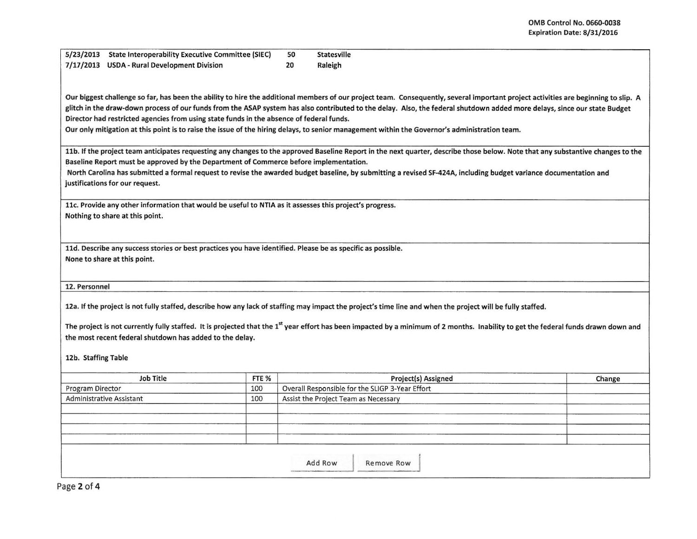I

I I

| 5/23/2013 State Interoperability Executive Committee (SIEC) | 50 | Statesville |  |
|-------------------------------------------------------------|----|-------------|--|
| 7/17/2013 USDA - Rural Development Division                 | 20 | Raleigh     |  |

Our biggest challenge so far, has been the ability to hire the additional members of our project team. Consequently, several important project activities are beginning to slip. A glitch in the draw-down process of our funds from the ASAP system has also contributed to the delay. Also, the federal shutdown added more delays, since our state Budget Director had restricted agencies from using state funds in the absence of federal funds.

Our only mitigation at this point is to raise the issue of the hiring delays, to senior management within the Governor's administration team.

11b. If the project team anticipates requesting any changes to the approved Baseline Report in the next quarter, describe those below. Note that any substantive changes to the Baseline Report must be approved by the Department of Commerce before implementation.

North Carolina has submitted a formal request to revise the awarded budget baseline, by submitting a revised SF-424A, including budget variance documentation and justifications for our request.

llc. Provide any other information that would be useful to NTIA as it assesses this project's progress. Nothing to share at this point.

lld. Describe any success stories or best practices you have identified. Please be as specific as possible. None to share at this point.

12. Personnel

12a. If the project is not fully staffed, describe how any lack of staffing may impact the project's time line and when the project will be fully staffed.

The project is not currently fully staffed. It is projected that the 1<sup>st</sup> year effort has been impacted by a minimum of 2 months. Inability to get the federal funds drawn down and the most recent federal shutdown has added to the delay.

12b. Staffing Table

| <b>Job Title</b>                | FTE % | Project(s) Assigned                             | Change |  |  |  |  |  |
|---------------------------------|-------|-------------------------------------------------|--------|--|--|--|--|--|
| Program Director                | 100   | Overall Responsible for the SLIGP 3-Year Effort |        |  |  |  |  |  |
| <b>Administrative Assistant</b> | 100   | Assist the Project Team as Necessary            |        |  |  |  |  |  |
|                                 |       |                                                 |        |  |  |  |  |  |
|                                 |       |                                                 |        |  |  |  |  |  |
|                                 |       |                                                 |        |  |  |  |  |  |
|                                 |       |                                                 |        |  |  |  |  |  |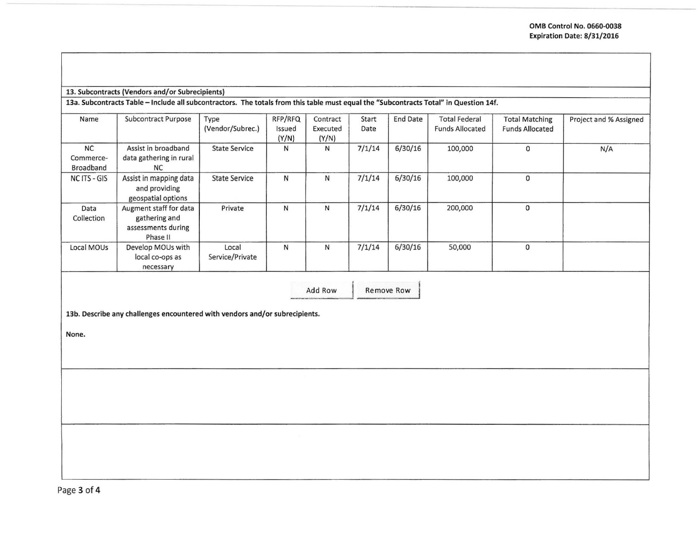## 13. Subcontracts (Vendors and/or Subrecipients}

13a. Subcontracts Table -Include all subcontractors. The totals from this table must equal the "Subcontracts Total" in Question 14f.

| Name                                | Subcontract Purpose                                                         | Type<br>(Vendor/Subrec.) | RFP/RFQ<br>Issued<br>(Y/N) | Contract<br>Executed<br>(Y/N) | Start<br>Date | <b>End Date</b> | <b>Total Federal</b><br><b>Funds Allocated</b> | <b>Total Matching</b><br><b>Funds Allocated</b> | Project and % Assigned |
|-------------------------------------|-----------------------------------------------------------------------------|--------------------------|----------------------------|-------------------------------|---------------|-----------------|------------------------------------------------|-------------------------------------------------|------------------------|
| <b>NC</b><br>Commerce-<br>Broadband | Assist in broadband<br>data gathering in rural<br><b>NC</b>                 | <b>State Service</b>     | N                          | $\mathsf{N}$                  | 7/1/14        | 6/30/16         | 100,000                                        | 0                                               | N/A                    |
| NC ITS - GIS                        | Assist in mapping data<br>and providing<br>geospatial options               | <b>State Service</b>     | N                          | N                             | 7/1/14        | 6/30/16         | 100,000                                        | $\mathbf 0$                                     |                        |
| Data<br>Collection                  | Augment staff for data<br>gathering and<br>assessments during<br>Phase II   | Private                  | N                          | N                             | 7/1/14        | 6/30/16         | 200,000                                        | $\Omega$                                        |                        |
| Local MOUs                          | Develop MOUs with<br>local co-ops as<br>necessary                           | Local<br>Service/Private | N                          | N                             | 7/1/14        | 6/30/16         | 50,000                                         | $\mathbf 0$                                     |                        |
|                                     | 13b. Describe any challenges encountered with vendors and/or subrecipients. |                          |                            | Add Row                       |               | Remove Row      |                                                |                                                 |                        |

None.